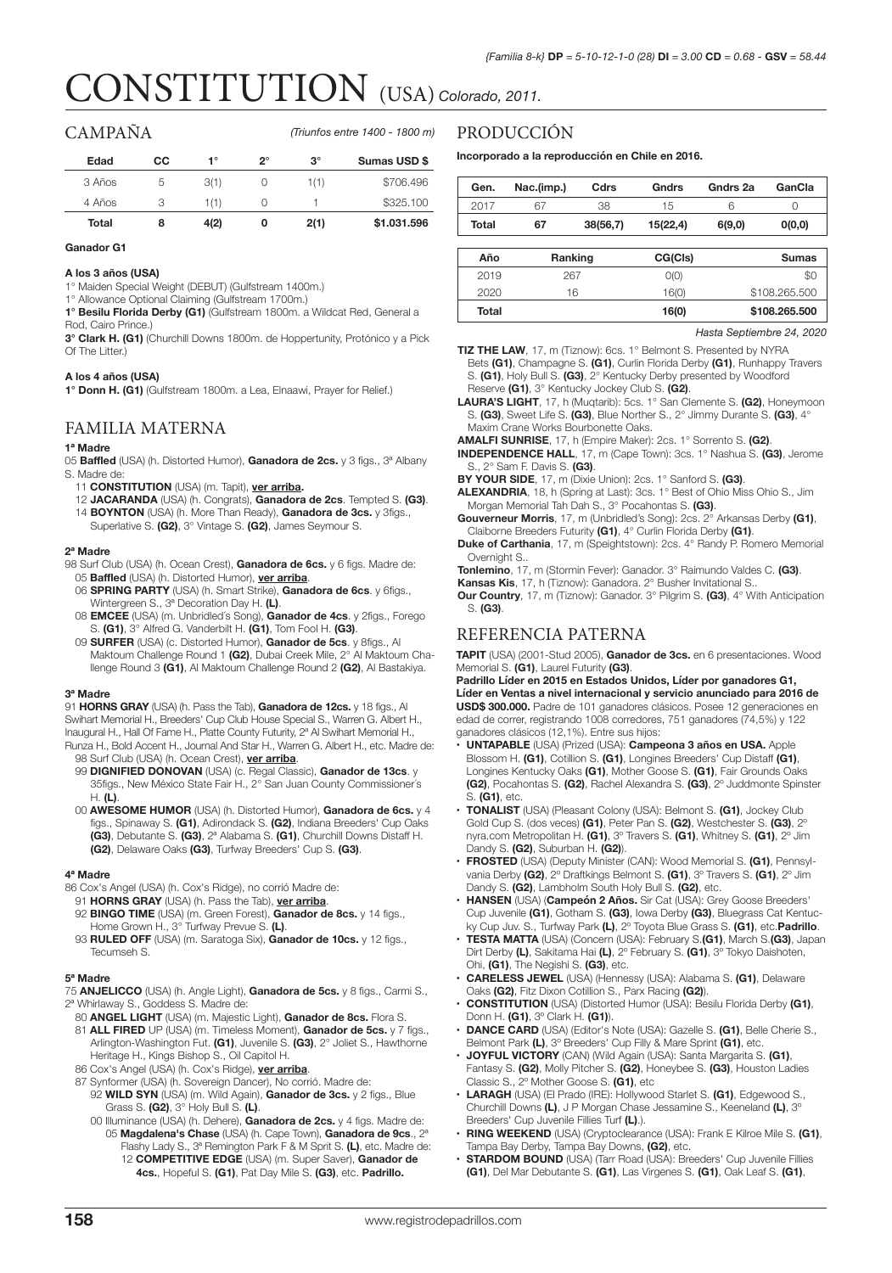# CONSTITUTION (USA) *Colorado, 2011.*

# CAMPAÑA

*(Triunfos entre 1400 - 1800 m)*

| Edad   | cс | 1°   | ን° | $3^\circ$ | Sumas USD \$ |
|--------|----|------|----|-----------|--------------|
| 3 Años | b  | 3(1) | U  | 1(1)      | \$706.496    |
| 4 Años |    | 1(1) | U  |           | \$325,100    |
| Total  | 8  | 4(2) | 0  | 2(1)      | \$1.031.596  |

#### **Ganador G1**

#### **A los 3 años (USA)**

1° Maiden Special Weight (DEBUT) (Gulfstream 1400m.)

1° Allowance Optional Claiming (Gulfstream 1700m.)

**1° Besilu Florida Derby (G1)** (Gulfstream 1800m. a Wildcat Red, General a Rod, Cairo Prince.)

**3° Clark H. (G1)** (Churchill Downs 1800m. de Hoppertunity, Protónico y a Pick Of The Litter.)

## **A los 4 años (USA)**

**1° Donn H. (G1)** (Gulfstream 1800m. a Lea, Elnaawi, Prayer for Relief.)

# FAMILIA MATERNA

#### **1ª Madre**

- 05 **Baffled** (USA) (h. Distorted Humor), **Ganadora de 2cs.** y 3 figs., 3ª Albany S. Madre de:
- 11 **CONSTITUTION** (USA) (m. Tapit), **ver arriba.**
- 12 **JACARANDA** (USA) (h. Congrats), **Ganadora de 2cs**. Tempted S. **(G3)**. 14 **BOYNTON** (USA) (h. More Than Ready), **Ganadora de 3cs.** y 3figs.,
- Superlative S. **(G2)**, 3° Vintage S. **(G2)**, James Seymour S.

#### **2ª Madre**

- 98 Surf Club (USA) (h. Ocean Crest), **Ganadora de 6cs.** y 6 figs. Madre de: 05 **Baffled** (USA) (h. Distorted Humor), **ver arriba**.
	- 06 **SPRING PARTY** (USA) (h. Smart Strike), **Ganadora de 6cs**. y 6figs., Wintergreen S., 3ª Decoration Day H. **(L)**.
	- 08 **EMCEE** (USA) (m. Unbridled´s Song), **Ganador de 4cs**. y 2figs., Forego S. **(G1)**, 3° Alfred G. Vanderbilt H. **(G1)**, Tom Fool H. **(G3)**.
	- 09 **SURFER** (USA) (c. Distorted Humor), **Ganador de 5cs**. y 8figs., Al Maktoum Challenge Round 1 **(G2)**, Dubai Creek Mile, 2° Al Maktoum Challenge Round 3 **(G1)**, Al Maktoum Challenge Round 2 **(G2)**, Al Bastakiya.

#### **3ª Madre**

91 **HORNS GRAY** (USA) (h. Pass the Tab), **Ganadora de 12cs.** y 18 figs., Al Swihart Memorial H., Breeders' Cup Club House Special S., Warren G. Albert H., Inaugural H., Hall Of Fame H., Platte County Futurity, 2ª Al Swihart Memorial H., Runza H., Bold Accent H., Journal And Star H., Warren G. Albert H., etc. Madre de: 98 Surf Club (USA) (h. Ocean Crest), **ver arriba**.

- 99 **DIGNIFIED DONOVAN** (USA) (c. Regal Classic), **Ganador de 13cs**. y 35figs., New México State Fair H., 2° San Juan County Commissioner´s H. **(L)**.
- 00 **AWESOME HUMOR** (USA) (h. Distorted Humor), **Ganadora de 6cs.** y 4 figs., Spinaway S. **(G1)**, Adirondack S. **(G2)**, Indiana Breeders' Cup Oaks **(G3)**, Debutante S. **(G3)**, 2ª Alabama S. **(G1)**, Churchill Downs Distaff H. **(G2)**, Delaware Oaks **(G3)**, Turfway Breeders' Cup S. **(G3)**.

#### **4ª Madre**

- 86 Cox's Angel (USA) (h. Cox's Ridge), no corrió Madre de:
- 
- 91 **HORNS GRAY** (USA) (h. Pass the Tab), **ver arriba**. 92 **BINGO TIME** (USA) (m. Green Forest), **Ganador de 8cs.** y 14 figs.,
- Home Grown H., 3° Turfway Prevue S. **(L)**. 93 **RULED OFF** (USA) (m. Saratoga Six), **Ganador de 10cs.** y 12 figs., Tecumseh S.

#### **5ª Madre**

- 75 **ANJELICCO** (USA) (h. Angle Light), **Ganadora de 5cs.** y 8 figs., Carmi S., 2ª Whirlaway S., Goddess S. Madre de:
- 80 **ANGEL LIGHT** (USA) (m. Majestic Light), **Ganador de 8cs.** Flora S.
- 81 **ALL FIRED** UP (USA) (m. Timeless Moment), **Ganador de 5cs.** y 7 figs., Arlington-Washington Fut. **(G1)**, Juvenile S. **(G3)**, 2° Joliet S., Hawthorne Heritage H., Kings Bishop S., Oil Capitol H.
- 86 Cox's Angel (USA) (h. Cox's Ridge), **ver arriba**.
- 87 Synformer (USA) (h. Sovereign Dancer), No corrió. Madre de: 92 **WILD SYN** (USA) (m. Wild Again), **Ganador de 3cs.** y 2 figs., Blue Grass S. **(G2)**, 3° Holy Bull S. **(L)**.
	- 00 Illuminance (USA) (h. Dehere), **Ganadora de 2cs.** y 4 figs. Madre de: 05 **Magdalena's Chase** (USA) (h. Cape Town), **Ganadora de 9cs**., 2ª Flashy Lady S., 3ª Remington Park F & M Sprit S. **(L)**, etc. Madre de: 12 **COMPETITIVE EDGE** (USA) (m. Super Saver), **Ganador de** 
		- **4cs.**, Hopeful S. **(G1)**, Pat Day Mile S. **(G3)**, etc. **Padrillo.**

# PRODUCCIÓN

### **Incorporado a la reproducción en Chile en 2016.**

| Gen.  | Nac.(imp.) | Cdrs     | Gndrs    | Gndrs 2a | GanCla |
|-------|------------|----------|----------|----------|--------|
| 2017  | 67         | 38       | 15       |          |        |
| Total | 67         | 38(56,7) | 15(22.4) | 6(9,0)   | O(0,0) |

| Año   | Ranking | CG(Cls) | <b>Sumas</b>  |
|-------|---------|---------|---------------|
| 2019  | 267     | O(O)    | SC.           |
| 2020  | 16      | 16(0)   | \$108,265,500 |
| Total |         | 16(0)   | \$108,265,500 |

*Hasta Septiembre 24, 2020*

**TIZ THE LAW**, 17, m (Tiznow): 6cs. 1° Belmont S. Presented by NYRA Bets **(G1)**, Champagne S. **(G1)**, Curlin Florida Derby **(G1)**, Runhappy Travers S. **(G1)**, Holy Bull S. **(G3)**, 2° Kentucky Derby presented by Woodford Reserve **(G1)**, 3° Kentucky Jockey Club S. **(G2)**.

- **LAURA'S LIGHT**, 17, h (Muqtarib): 5cs. 1° San Clemente S. **(G2)**, Honeymoon S. **(G3)**, Sweet Life S. **(G3)**, Blue Norther S., 2° Jimmy Durante S. **(G3)**, 4° Maxim Crane Works Bourbonette Oaks.
- **AMALFI SUNRISE**, 17, h (Empire Maker): 2cs. 1° Sorrento S. **(G2)**.
- **INDEPENDENCE HALL**, 17, m (Cape Town): 3cs. 1° Nashua S. **(G3)**, Jerome S., 2° Sam F. Davis S. **(G3)**.
- **BY YOUR SIDE**, 17, m (Dixie Union): 2cs. 1° Sanford S. **(G3)**.
- **ALEXANDRIA**, 18, h (Spring at Last): 3cs. 1° Best of Ohio Miss Ohio S., Jim Morgan Memorial Tah Dah S., 3° Pocahontas S. **(G3)**.
- **Gouverneur Morris**, 17, m (Unbridled's Song): 2cs. 2° Arkansas Derby **(G1)**, Claiborne Breeders Futurity **(G1)**, 4° Curlin Florida Derby **(G1)**.
- **Duke of Carthania**, 17, m (Speightstown): 2cs. 4° Randy P. Romero Memorial Overnight S.
- **Tonlemino**, 17, m (Stormin Fever): Ganador. 3° Raimundo Valdes C. **(G3)**.
- **Kansas Kis**, 17, h (Tiznow): Ganadora. 2° Busher Invitational S..
- **Our Country**, 17, m (Tiznow): Ganador. 3° Pilgrim S. **(G3)**, 4° With Anticipation S. **(G3)**.

# REFERENCIA PATERNA

**TAPIT** (USA) (2001-Stud 2005), **Ganador de 3cs.** en 6 presentaciones. Wood Memorial S. **(G1)**, Laurel Futurity **(G3)**.

**Padrillo Líder en 2015 en Estados Unidos, Líder por ganadores G1, Líder en Ventas a nivel internacional y servicio anunciado para 2016 de USD\$ 300.000.** Padre de 101 ganadores clásicos. Posee 12 generaciones en edad de correr, registrando 1008 corredores, 751 ganadores (74,5%) y 122 ganadores clásicos (12,1%). Entre sus hijos:

- **• UNTAPABLE** (USA) (Prized (USA): **Campeona 3 años en USA.** Apple Blossom H. **(G1)**, Cotillion S. **(G1)**, Longines Breeders' Cup Distaff **(G1)**, Longines Kentucky Oaks **(G1)**, Mother Goose S. **(G1)**, Fair Grounds Oaks **(G2)**, Pocahontas S. **(G2)**, Rachel Alexandra S. **(G3)**, 2º Juddmonte Spinster S. **(G1)**, etc.
- **• TONALIST** (USA) (Pleasant Colony (USA): Belmont S. **(G1)**, Jockey Club Gold Cup S. (dos veces) **(G1)**, Peter Pan S. **(G2)**, Westchester S. **(G3)**, 2º nyra.com Metropolitan H. **(G1)**, 3º Travers S. **(G1)**, Whitney S. **(G1)**, 2º Jim Dandy S. **(G2)**, Suburban H. **(G2)**).
- **• FROSTED** (USA) (Deputy Minister (CAN): Wood Memorial S. **(G1)**, Pennsylvania Derby **(G2)**, 2º Draftkings Belmont S. **(G1)**, 3º Travers S. **(G1)**, 2º Jim Dandy S. **(G2)**, Lambholm South Holy Bull S. **(G2)**, etc.
- **• HANSEN** (USA) (**Campeón 2 Años.** Sir Cat (USA): Grey Goose Breeders' Cup Juvenile **(G1)**, Gotham S. **(G3)**, Iowa Derby **(G3)**, Bluegrass Cat Kentuc-
- ky Cup Juv. S., Turfway Park **(L)**, 2º Toyota Blue Grass S. **(G1)**, etc.**Padrillo**. **• TESTA MATTA** (USA) (Concern (USA): February S.**(G1)**, March S.**(G3)**, Japan Dirt Derby **(L)**, Sakitama Hai **(L)**, 2º February S. **(G1)**, 3º Tokyo Daishoten, Ohi, **(G1)**, The Negishi S. **(G3)**, etc.
- **• CARELESS JEWEL** (USA) (Hennessy (USA): Alabama S. **(G1)**, Delaware
- Oaks **(G2)**, Fitz Dixon Cotillion S., Parx Racing **(G2)**). **• CONSTITUTION** (USA) (Distorted Humor (USA): Besilu Florida Derby **(G1)**, Donn H. **(G1)**, 3º Clark H. **(G1)**).
- **• DANCE CARD** (USA) (Editor's Note (USA): Gazelle S. **(G1)**, Belle Cherie S., Belmont Park **(L)**, 3º Breeders' Cup Filly & Mare Sprint **(G1)**, etc.
- **• JOYFUL VICTORY** (CAN) (Wild Again (USA): Santa Margarita S. **(G1)**, Fantasy S. **(G2)**, Molly Pitcher S. **(G2)**, Honeybee S. **(G3)**, Houston Ladies Classic S., 2º Mother Goose S. **(G1)**, etc
- **• LARAGH** (USA) (El Prado (IRE): Hollywood Starlet S. **(G1)**, Edgewood S., Churchill Downs **(L)**, J P Morgan Chase Jessamine S., Keeneland **(L)**, 3º Breeders' Cup Juvenile Fillies Turf **(L)**.).
- **• RING WEEKEND** (USA) (Cryptoclearance (USA): Frank E Kilroe Mile S. **(G1)**, Tampa Bay Derby, Tampa Bay Downs, **(G2)**, etc.
- **• STARDOM BOUND** (USA) (Tarr Road (USA): Breeders' Cup Juvenile Fillies **(G1)**, Del Mar Debutante S. **(G1)**, Las Virgenes S. **(G1)**, Oak Leaf S. **(G1)**,